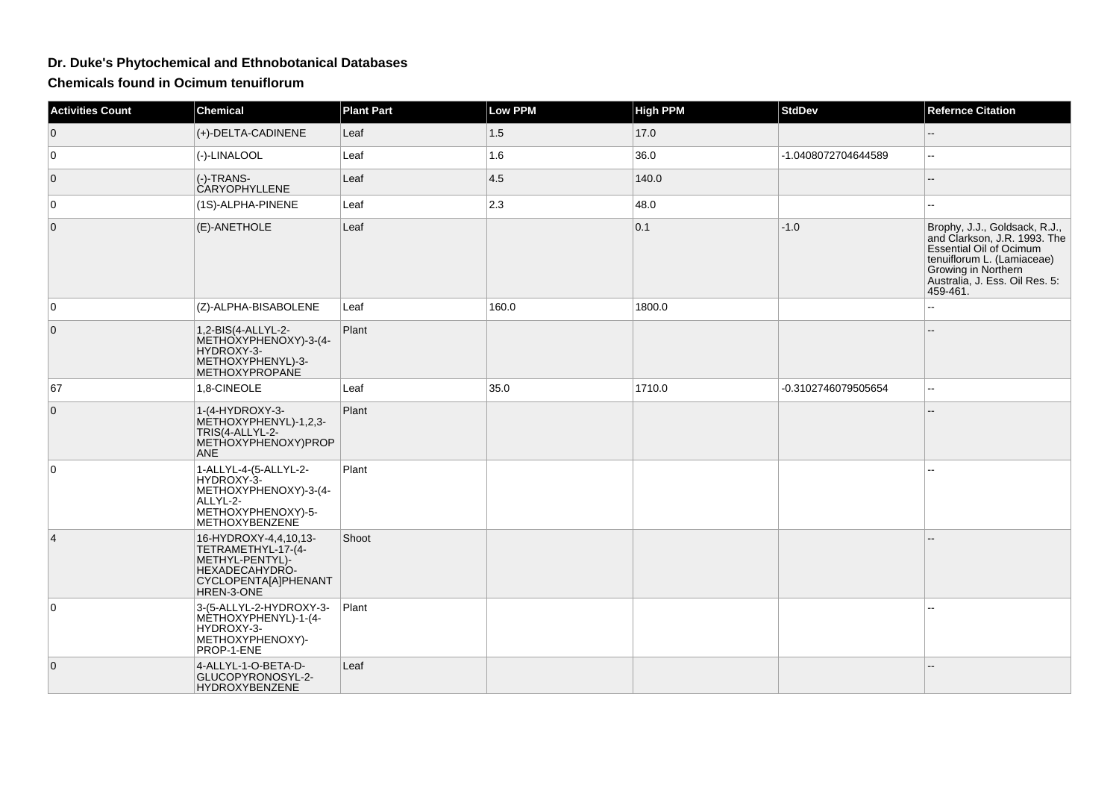## **Dr. Duke's Phytochemical and Ethnobotanical Databases**

**Chemicals found in Ocimum tenuiflorum**

| <b>Activities Count</b> | <b>Chemical</b>                                                                                                               | <b>Plant Part</b> | <b>Low PPM</b> | <b>High PPM</b> | <b>StdDev</b>       | <b>Refernce Citation</b>                                                                                                                                                                           |
|-------------------------|-------------------------------------------------------------------------------------------------------------------------------|-------------------|----------------|-----------------|---------------------|----------------------------------------------------------------------------------------------------------------------------------------------------------------------------------------------------|
| $\overline{0}$          | (+)-DELTA-CADINENE                                                                                                            | Leaf              | 1.5            | 17.0            |                     | $-$                                                                                                                                                                                                |
| $\mathbf 0$             | (-)-LINALOOL                                                                                                                  | Leaf              | 1.6            | 36.0            | -1.0408072704644589 | шш.                                                                                                                                                                                                |
| $\overline{0}$          | (-)-TRANS-<br><b>CARYOPHYLLENE</b>                                                                                            | Leaf              | 4.5            | 140.0           |                     |                                                                                                                                                                                                    |
| 0                       | (1S)-ALPHA-PINENE                                                                                                             | Leaf              | $ 2.3\rangle$  | 48.0            |                     | шш.                                                                                                                                                                                                |
| $\overline{0}$          | (E)-ANETHOLE                                                                                                                  | Leaf              |                | 0.1             | $-1.0$              | Brophy, J.J., Goldsack, R.J.,<br>and Clarkson, J.R. 1993. The<br><b>Essential Oil of Ocimum</b><br>tenuiflorum L. (Lamiaceae)<br>Growing in Northern<br>Australia, J. Ess. Oil Res. 5:<br>459-461. |
| $\mathbf 0$             | (Z)-ALPHA-BISABOLENE                                                                                                          | Leaf              | 160.0          | 1800.0          |                     | ÷÷.                                                                                                                                                                                                |
| $\mathbf 0$             | 1,2-BIS(4-ALLYL-2-<br>METHOXYPHENOXY)-3-(4-<br>HYDROXY-3-<br>METHOXYPHENYL)-3-<br><b>METHOXYPROPANE</b>                       | Plant             |                |                 |                     |                                                                                                                                                                                                    |
| 67                      | 1,8-CINEOLE                                                                                                                   | Leaf              | 35.0           | 1710.0          | -0.3102746079505654 | --                                                                                                                                                                                                 |
| $\overline{0}$          | 1-(4-HYDROXY-3-<br>METHOXYPHENYL)-1,2,3-<br>TRIS(4-ALLYL-2-<br>METHOXYPHENOXY)PROP<br><b>ANE</b>                              | Plant             |                |                 |                     |                                                                                                                                                                                                    |
| 0                       | 1-ALLYL-4-(5-ALLYL-2-<br>HYDROXY-3-<br>METHOXYPHENOXY)-3-(4-<br>ALLYL-2-<br>METHOXYPHENOXY)-5-<br>METHOXYBENZENE              | Plant             |                |                 |                     | $\overline{a}$                                                                                                                                                                                     |
| $\vert 4 \vert$         | 16-HYDROXY-4,4,10,13-<br>TETRAMETHYL-17-(4-<br>METHYL-PENTYL)-<br>HEXADECAHYDRO-<br><b>CYCLOPENTA[A]PHENANT</b><br>HREN-3-ONE | Shoot             |                |                 |                     |                                                                                                                                                                                                    |
| $\mathbf 0$             | 3-(5-ALLYL-2-HYDROXY-3-<br>MÈTHOXYPHENYL)-1-(4-<br>HYDROXY-3-<br>METHOXYPHENOXY)-<br>PROP-1-ENE                               | Plant             |                |                 |                     |                                                                                                                                                                                                    |
| $\overline{0}$          | 4-ALLYL-1-O-BETA-D-<br>GLUCOPYRONOSYL-2-<br>HYDROXYBENZENE                                                                    | Leaf              |                |                 |                     |                                                                                                                                                                                                    |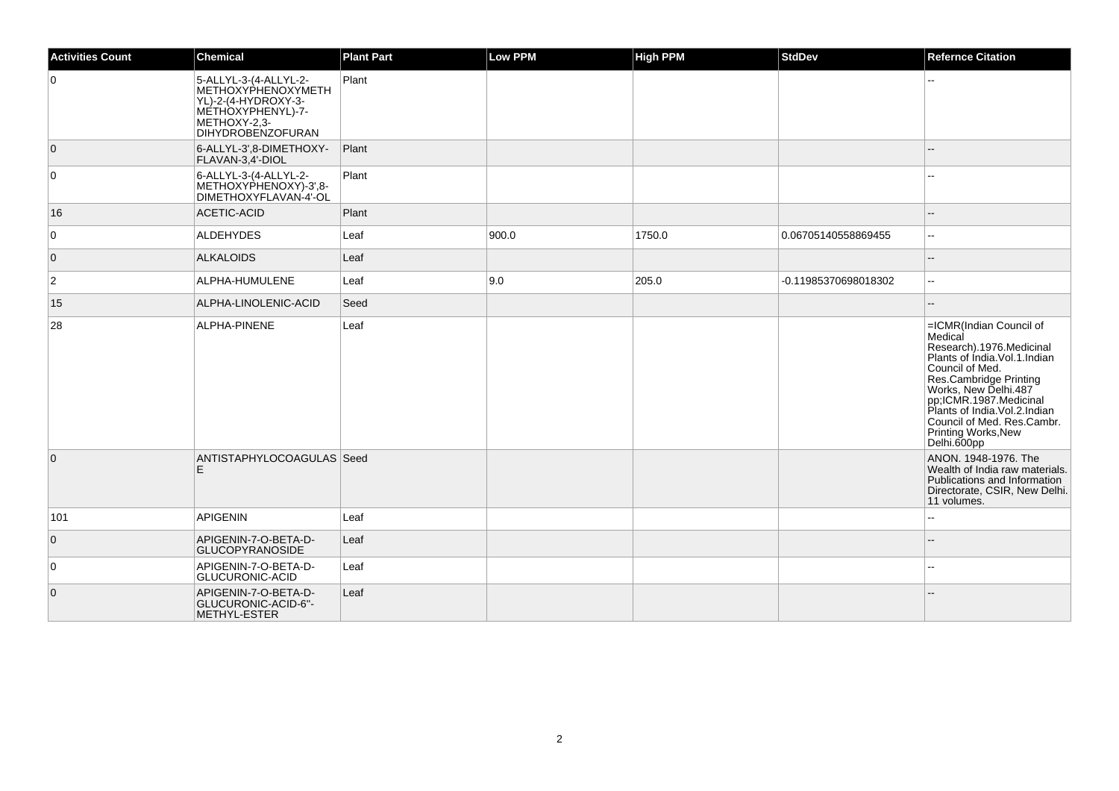| <b>Activities Count</b> | <b>Chemical</b>                                                                                                                      | <b>Plant Part</b> | <b>Low PPM</b> | <b>High PPM</b> | <b>StdDev</b>        | <b>Refernce Citation</b>                                                                                                                                                                                                                                                                             |
|-------------------------|--------------------------------------------------------------------------------------------------------------------------------------|-------------------|----------------|-----------------|----------------------|------------------------------------------------------------------------------------------------------------------------------------------------------------------------------------------------------------------------------------------------------------------------------------------------------|
| $\mathbf 0$             | 5-ALLYL-3-(4-ALLYL-2-<br>ΙΜΕΤΗΟΧΥΡΗΕΝΟΧΥΜΕΤΗ<br>YL)-2-(4-HYDROXY-3-<br>METHOXYPHENYL)-7-<br>METHOXY-2.3-<br><b>DIHYDROBENZOFURAN</b> | Plant             |                |                 |                      |                                                                                                                                                                                                                                                                                                      |
| $\overline{0}$          | 6-ALLYL-3',8-DIMETHOXY-<br>FLAVAN-3,4'-DIOL                                                                                          | Plant             |                |                 |                      |                                                                                                                                                                                                                                                                                                      |
| 0                       | 6-ALLYL-3-(4-ALLYL-2-<br>METHOXYPHENOXY)-3',8-<br>DIMETHOXYFLAVAN-4'-OL                                                              | Plant             |                |                 |                      |                                                                                                                                                                                                                                                                                                      |
| 16                      | ACETIC-ACID                                                                                                                          | Plant             |                |                 |                      |                                                                                                                                                                                                                                                                                                      |
| 0                       | ALDEHYDES                                                                                                                            | Leaf              | 900.0          | 1750.0          | 0.06705140558869455  | --                                                                                                                                                                                                                                                                                                   |
| $\overline{0}$          | <b>ALKALOIDS</b>                                                                                                                     | Leaf              |                |                 |                      | $-$                                                                                                                                                                                                                                                                                                  |
| 2                       | ALPHA-HUMULENE                                                                                                                       | Leaf              | 9.0            | 205.0           | -0.11985370698018302 | $\overline{a}$                                                                                                                                                                                                                                                                                       |
| 15                      | ALPHA-LINOLENIC-ACID                                                                                                                 | Seed              |                |                 |                      |                                                                                                                                                                                                                                                                                                      |
| 28                      | <b>ALPHA-PINENE</b>                                                                                                                  | Leaf              |                |                 |                      | =ICMR(Indian Council of<br>Medical<br>Research).1976.Medicinal<br>Plants of India. Vol. 1. Indian<br>Council of Med.<br>Res.Cambridge Printing<br>Works, New Delhi.487<br>pp;ICMR.1987.Medicinal<br>Plants of India.Vol.2.Indian<br>Council of Med. Res.Cambr.<br>Printing Works, New<br>Delhi.600pp |
| $\overline{0}$          | ANTISTAPHYLOCOAGULAS Seed<br>E.                                                                                                      |                   |                |                 |                      | ANON, 1948-1976. The<br>Wealth of India raw materials.<br>Publications and Information<br>Directorate, CSIR, New Delhi.<br>11 volumes.                                                                                                                                                               |
| 101                     | APIGENIN                                                                                                                             | Leaf              |                |                 |                      | ۵.                                                                                                                                                                                                                                                                                                   |
| $\mathbf 0$             | APIGENIN-7-O-BETA-D-<br><b>GLUCOPYRANOSIDE</b>                                                                                       | Leaf              |                |                 |                      |                                                                                                                                                                                                                                                                                                      |
| 0                       | APIGENIN-7-O-BETA-D-<br>GLUCURONIC-ACID                                                                                              | Leaf              |                |                 |                      | $\overline{a}$                                                                                                                                                                                                                                                                                       |
| $\overline{0}$          | APIGENIN-7-O-BETA-D-<br>GLUCURONIC-ACID-6"-<br>METHYL-ESTER                                                                          | Leaf              |                |                 |                      |                                                                                                                                                                                                                                                                                                      |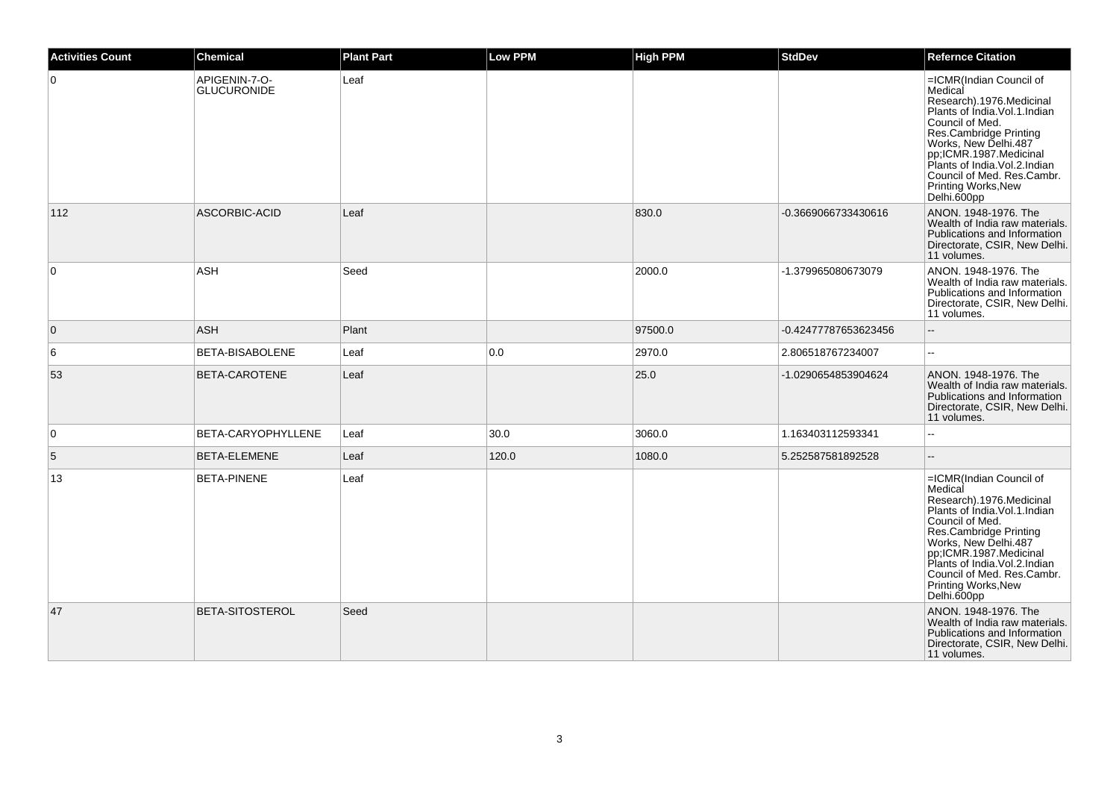| <b>Activities Count</b> | <b>Chemical</b>                     | <b>Plant Part</b> | <b>Low PPM</b> | <b>High PPM</b> | <b>StdDev</b>        | <b>Refernce Citation</b>                                                                                                                                                                                                                                                                                    |
|-------------------------|-------------------------------------|-------------------|----------------|-----------------|----------------------|-------------------------------------------------------------------------------------------------------------------------------------------------------------------------------------------------------------------------------------------------------------------------------------------------------------|
| $\overline{0}$          | APIGENIN-7-O-<br><b>GLUCURONIDE</b> | Leaf              |                |                 |                      | =ICMR(Indian Council of<br>Medical<br>Research).1976.Medicinal<br>Plants of India. Vol. 1. Indian<br>Council of Med.<br>Res.Cambridge Printing<br>Works, New Delhi.487<br>pp,ICMR.1987.Medicinal<br>Plants of India. Vol. 2. Indian<br>Council of Med. Res.Cambr.<br>Printing Works, New<br>Delhi.600pp     |
| 112                     | ASCORBIC-ACID                       | Leaf              |                | 830.0           | -0.3669066733430616  | ANON. 1948-1976. The<br>Wealth of India raw materials.<br>Publications and Information<br>Directorate, CSIR, New Delhi.<br>11 volumes.                                                                                                                                                                      |
| $\overline{0}$          | <b>ASH</b>                          | Seed              |                | 2000.0          | -1.379965080673079   | ANON. 1948-1976. The<br>Wealth of India raw materials.<br>Publications and Information<br>Directorate, CSIR, New Delhi.<br>11 volumes.                                                                                                                                                                      |
| $\overline{0}$          | ASH                                 | Plant             |                | 97500.0         | -0.42477787653623456 | $\sim$                                                                                                                                                                                                                                                                                                      |
| 6                       | BETA-BISABOLENE                     | Leaf              | 0.0            | 2970.0          | 2.806518767234007    | $\mathbf{L}$                                                                                                                                                                                                                                                                                                |
| 53                      | BETA-CAROTENE                       | Leaf              |                | 25.0            | -1.0290654853904624  | ANON. 1948-1976. The<br>Wealth of India raw materials.<br>Publications and Information<br>Directorate, CSIR, New Delhi.<br>11 volumes.                                                                                                                                                                      |
| $\overline{0}$          | BETA-CARYOPHYLLENE                  | Leaf              | 30.0           | 3060.0          | 1.163403112593341    | $\sim$ $\sim$                                                                                                                                                                                                                                                                                               |
| $\sqrt{5}$              | BETA-ELEMENE                        | Leaf              | 120.0          | 1080.0          | 5.252587581892528    | $\overline{\phantom{a}}$                                                                                                                                                                                                                                                                                    |
| 13                      | <b>BETA-PINENE</b>                  | Leaf              |                |                 |                      | =ICMR(Indian Council of<br>Medical<br>Research).1976.Medicinal<br>Plants of India. Vol. 1. Indian<br>Council of Med.<br>Res.Cambridge Printing<br>Works, New Delhi.487<br>pp;ICMR.1987.Medicinal<br>Plants of India.Vol.2.Indian<br>Council of Med. Res.Cambr.<br><b>Printing Works, New</b><br>Delhi.600pp |
| 47                      | BETA-SITOSTEROL                     | Seed              |                |                 |                      | ANON. 1948-1976. The<br>Wealth of India raw materials.<br>Publications and Information<br>Directorate, CSIR, New Delhi.<br>11 volumes.                                                                                                                                                                      |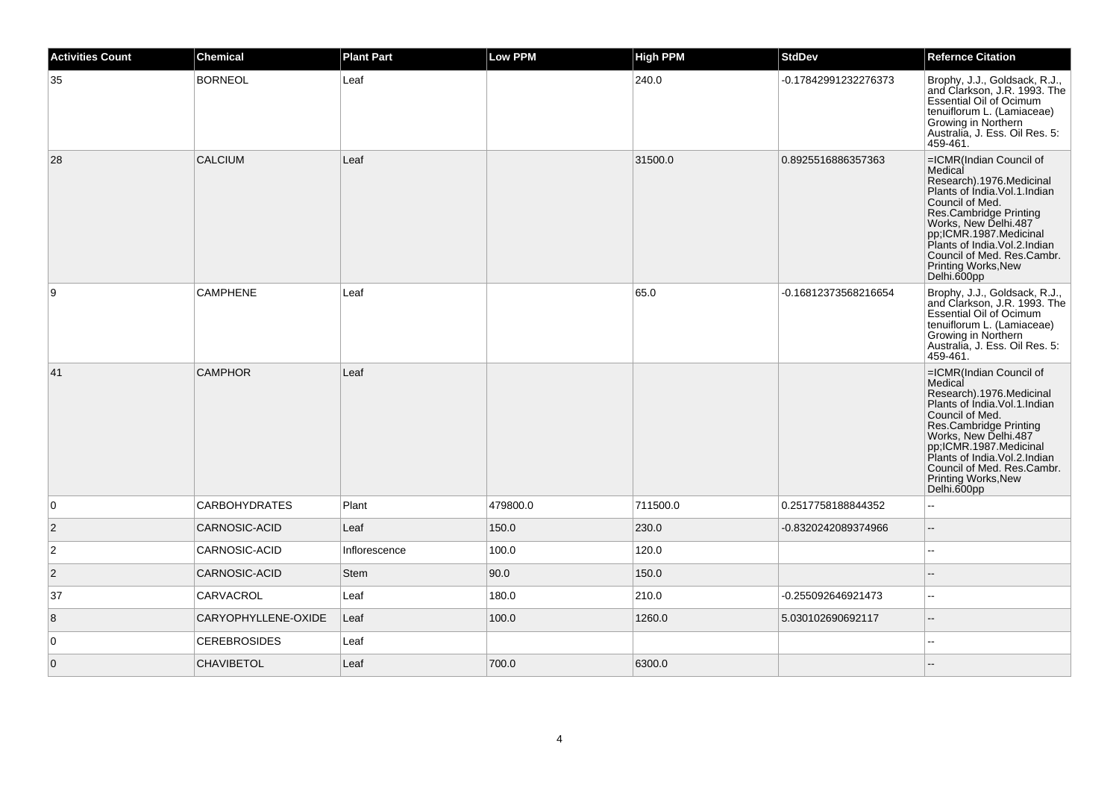| <b>Activities Count</b> | <b>Chemical</b>      | <b>Plant Part</b> | <b>Low PPM</b> | <b>High PPM</b> | <b>StdDev</b>        | <b>Refernce Citation</b>                                                                                                                                                                                                                                                                                   |
|-------------------------|----------------------|-------------------|----------------|-----------------|----------------------|------------------------------------------------------------------------------------------------------------------------------------------------------------------------------------------------------------------------------------------------------------------------------------------------------------|
| 35                      | <b>BORNEOL</b>       | Leaf              |                | 240.0           | -0.17842991232276373 | Brophy, J.J., Goldsack, R.J.,<br>and Clarkson, J.R. 1993. The<br><b>Essential Oil of Ocimum</b><br>tenuiflorum L. (Lamiaceae)<br>Growing in Northern<br>Australia, J. Ess. Oil Res. 5:<br>459-461.                                                                                                         |
| 28                      | CALCIUM              | Leaf              |                | 31500.0         | 0.8925516886357363   | =ICMR(Indian Council of<br>Medical<br>Research).1976.Medicinal<br>Plants of India.Vol.1.Indian<br>Council of Med.<br>Res.Cambridge Printing<br>Works, New Delhi.487<br>pp;ICMR.1987.Medicinal<br>Plants of India. Vol.2. Indian<br>Council of Med. Res.Cambr.<br>Printing Works, New<br>Delhi.600pp        |
| 9                       | <b>CAMPHENE</b>      | Leaf              |                | 65.0            | -0.16812373568216654 | Brophy, J.J., Goldsack, R.J.,<br>and Clarkson, J.R. 1993. The<br>Essential Oil of Ocimum<br>tenuiflorum L. (Lamiaceae)<br>Growing in Northern<br>Australia, J. Ess. Oil Res. 5:<br>459-461.                                                                                                                |
| 41                      | <b>CAMPHOR</b>       | Leaf              |                |                 |                      | =ICMR(Indian Council of<br>Medical<br>Research).1976.Medicinal<br>Plants of India.Vol.1.Indian<br>Council of Med.<br>Res.Cambridge Printing<br>Works, New Delhi.487<br>pp;ICMR.1987.Medicinal<br>Plants of India. Vol.2. Indian<br>Council of Med. Res.Cambr.<br><b>Printing Works, New</b><br>Delhi.600pp |
| 0                       | <b>CARBOHYDRATES</b> | Plant             | 479800.0       | 711500.0        | 0.2517758188844352   | $\sim$                                                                                                                                                                                                                                                                                                     |
| $\vert$ 2               | CARNOSIC-ACID        | Leaf              | 150.0          | 230.0           | -0.8320242089374966  | $\overline{\phantom{a}}$                                                                                                                                                                                                                                                                                   |
| $\overline{c}$          | CARNOSIC-ACID        | Inflorescence     | 100.0          | 120.0           |                      | $\overline{a}$                                                                                                                                                                                                                                                                                             |
| $\overline{2}$          | CARNOSIC-ACID        | <b>Stem</b>       | 90.0           | 150.0           |                      | $\overline{a}$                                                                                                                                                                                                                                                                                             |
| 37                      | CARVACROL            | Leaf              | 180.0          | 210.0           | -0.255092646921473   | $-$                                                                                                                                                                                                                                                                                                        |
| 8                       | CARYOPHYLLENE-OXIDE  | Leaf              | 100.0          | 1260.0          | 5.030102690692117    | $\qquad \qquad -$                                                                                                                                                                                                                                                                                          |
| $\overline{0}$          | <b>CEREBROSIDES</b>  | Leaf              |                |                 |                      | $\overline{a}$                                                                                                                                                                                                                                                                                             |
| $\overline{0}$          | <b>CHAVIBETOL</b>    | Leaf              | 700.0          | 6300.0          |                      |                                                                                                                                                                                                                                                                                                            |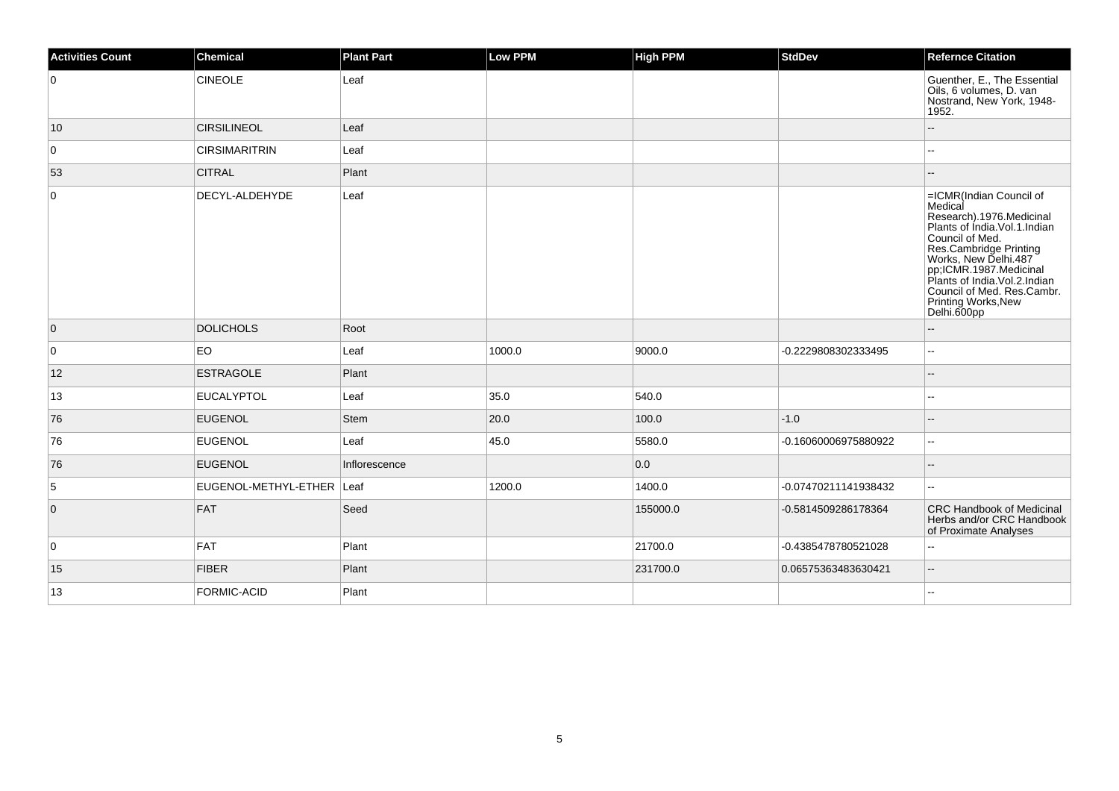| <b>Activities Count</b> | <b>Chemical</b>           | <b>Plant Part</b> | <b>Low PPM</b> | High PPM | <b>StdDev</b>        | <b>Refernce Citation</b>                                                                                                                                                                                                                                                                                    |
|-------------------------|---------------------------|-------------------|----------------|----------|----------------------|-------------------------------------------------------------------------------------------------------------------------------------------------------------------------------------------------------------------------------------------------------------------------------------------------------------|
| 0                       | <b>CINEOLE</b>            | Leaf              |                |          |                      | Guenther, E., The Essential<br>Oils, 6 volumes, D. van<br>Nostrand, New York, 1948-<br>1952.                                                                                                                                                                                                                |
| $ 10\rangle$            | <b>CIRSILINEOL</b>        | Leaf              |                |          |                      |                                                                                                                                                                                                                                                                                                             |
| 0                       | <b>CIRSIMARITRIN</b>      | Leaf              |                |          |                      | $\overline{a}$                                                                                                                                                                                                                                                                                              |
| 53                      | <b>CITRAL</b>             | Plant             |                |          |                      |                                                                                                                                                                                                                                                                                                             |
| 0                       | DECYL-ALDEHYDE            | Leaf              |                |          |                      | =ICMR(Indian Council of<br>Medical<br>Research).1976.Medicinal<br>Plants of India.Vol.1.Indian<br>Council of Med.<br><b>Ses.Cambridge Printing<br/>Works, New Delhi.487<br/>pp;ICMR.1987.Medicinal<br/>Plants of India.Vol.2.Indian</b><br>Council of Med. Res.Cambr.<br>Printing Works, New<br>Delhi.600pp |
| $\overline{0}$          | <b>DOLICHOLS</b>          | Root              |                |          |                      | $\overline{\phantom{a}}$                                                                                                                                                                                                                                                                                    |
| $\mathbf 0$             | EO                        | Leaf              | 1000.0         | 9000.0   | -0.2229808302333495  | $\mathbf{u}$                                                                                                                                                                                                                                                                                                |
| 12                      | ESTRAGOLE                 | Plant             |                |          |                      | --                                                                                                                                                                                                                                                                                                          |
| 13                      | <b>EUCALYPTOL</b>         | Leaf              | 35.0           | 540.0    |                      | ٠.                                                                                                                                                                                                                                                                                                          |
| 76                      | <b>EUGENOL</b>            | Stem              | 20.0           | 100.0    | $-1.0$               | $-$                                                                                                                                                                                                                                                                                                         |
| 76                      | <b>EUGENOL</b>            | Leaf              | 45.0           | 5580.0   | -0.16060006975880922 | $\overline{\phantom{a}}$                                                                                                                                                                                                                                                                                    |
| 76                      | <b>EUGENOL</b>            | Inflorescence     |                | 0.0      |                      |                                                                                                                                                                                                                                                                                                             |
| 5                       | EUGENOL-METHYL-ETHER Leaf |                   | 1200.0         | 1400.0   | -0.07470211141938432 | $\overline{a}$                                                                                                                                                                                                                                                                                              |
| $\overline{0}$          | FAT                       | Seed              |                | 155000.0 | -0.5814509286178364  | <b>CRC Handbook of Medicinal</b><br>Herbs and/or CRC Handbook<br>of Proximate Analyses                                                                                                                                                                                                                      |
| 0                       | FAT                       | Plant             |                | 21700.0  | -0.4385478780521028  |                                                                                                                                                                                                                                                                                                             |
| 15                      | <b>FIBER</b>              | Plant             |                | 231700.0 | 0.06575363483630421  | $\overline{\phantom{a}}$                                                                                                                                                                                                                                                                                    |
| 13                      | FORMIC-ACID               | Plant             |                |          |                      |                                                                                                                                                                                                                                                                                                             |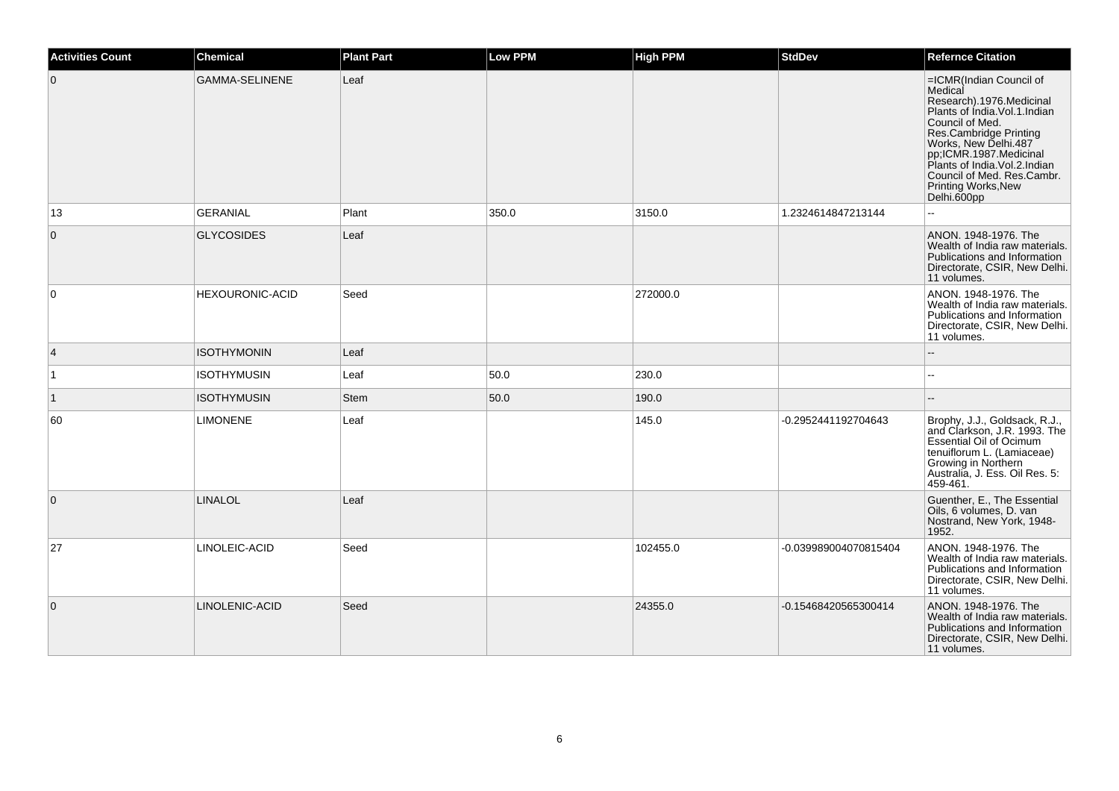| <b>Activities Count</b> | <b>Chemical</b>        | <b>Plant Part</b> | <b>Low PPM</b> | <b>High PPM</b> | <b>StdDev</b>         | <b>Refernce Citation</b>                                                                                                                                                                                                                                                                                           |
|-------------------------|------------------------|-------------------|----------------|-----------------|-----------------------|--------------------------------------------------------------------------------------------------------------------------------------------------------------------------------------------------------------------------------------------------------------------------------------------------------------------|
| $\mathbf{0}$            | <b>GAMMA-SELINENE</b>  | Leaf              |                |                 |                       | =ICMR(Indian Council of<br>Medical<br>Research).1976.Medicinal<br>Plants of India.Vol.1.Indian<br>Council of Med.<br><b>Ses.Cambridge Printing<br/>Works, New Delhi.487<br/>pp;ICMR.1987.Medicinal<br/>Plants of India.Vol.2.Indian</b><br>Council of Med. Res.Cambr.<br><b>Printing Works, New</b><br>Delhi.600pp |
| 13                      | <b>GERANIAL</b>        | Plant             | 350.0          | 3150.0          | 1.2324614847213144    | $\sim$ $\sim$                                                                                                                                                                                                                                                                                                      |
| $\mathbf 0$             | <b>GLYCOSIDES</b>      | Leaf              |                |                 |                       | ANON. 1948-1976. The<br>Wealth of India raw materials.<br>Publications and Information<br>Directorate, CSIR, New Delhi.<br>11 volumes.                                                                                                                                                                             |
| $\mathbf 0$             | <b>HEXOURONIC-ACID</b> | Seed              |                | 272000.0        |                       | ANON. 1948-1976. The<br>Wealth of India raw materials.<br>Publications and Information<br>Directorate, CSIR, New Delhi.<br>11 volumes.                                                                                                                                                                             |
| $\overline{4}$          | <b>ISOTHYMONIN</b>     | Leaf              |                |                 |                       |                                                                                                                                                                                                                                                                                                                    |
| ∣1                      | <b>ISOTHYMUSIN</b>     | Leaf              | 50.0           | 230.0           |                       | $\sim$                                                                                                                                                                                                                                                                                                             |
| $\vert$ 1               | <b>ISOTHYMUSIN</b>     | Stem              | 50.0           | 190.0           |                       |                                                                                                                                                                                                                                                                                                                    |
| 60                      | <b>LIMONENE</b>        | Leaf              |                | 145.0           | -0.2952441192704643   | Brophy, J.J., Goldsack, R.J.,<br>and Clarkson, J.R. 1993. The<br>Essential Oil of Ocimum<br>tenuiflorum L. (Lamiaceae)<br>Growing in Northern<br>Australia, J. Ess. Oil Res. 5:<br>459-461.                                                                                                                        |
| $\mathbf 0$             | <b>LINALOL</b>         | Leaf              |                |                 |                       | Guenther, E., The Essential<br>Oils, 6 volumes, D. van<br>Nostrand, New York, 1948-<br>1952.                                                                                                                                                                                                                       |
| 27                      | LINOLEIC-ACID          | Seed              |                | 102455.0        | -0.039989004070815404 | ANON. 1948-1976. The<br>Wealth of India raw materials.<br>Publications and Information<br>Directorate, CSIR, New Delhi.<br>11 volumes.                                                                                                                                                                             |
| $\overline{0}$          | LINOLENIC-ACID         | Seed              |                | 24355.0         | -0.15468420565300414  | ANON, 1948-1976. The<br>Wealth of India raw materials.<br>Publications and Information<br>Directorate, CSIR, New Delhi.<br>11 volumes.                                                                                                                                                                             |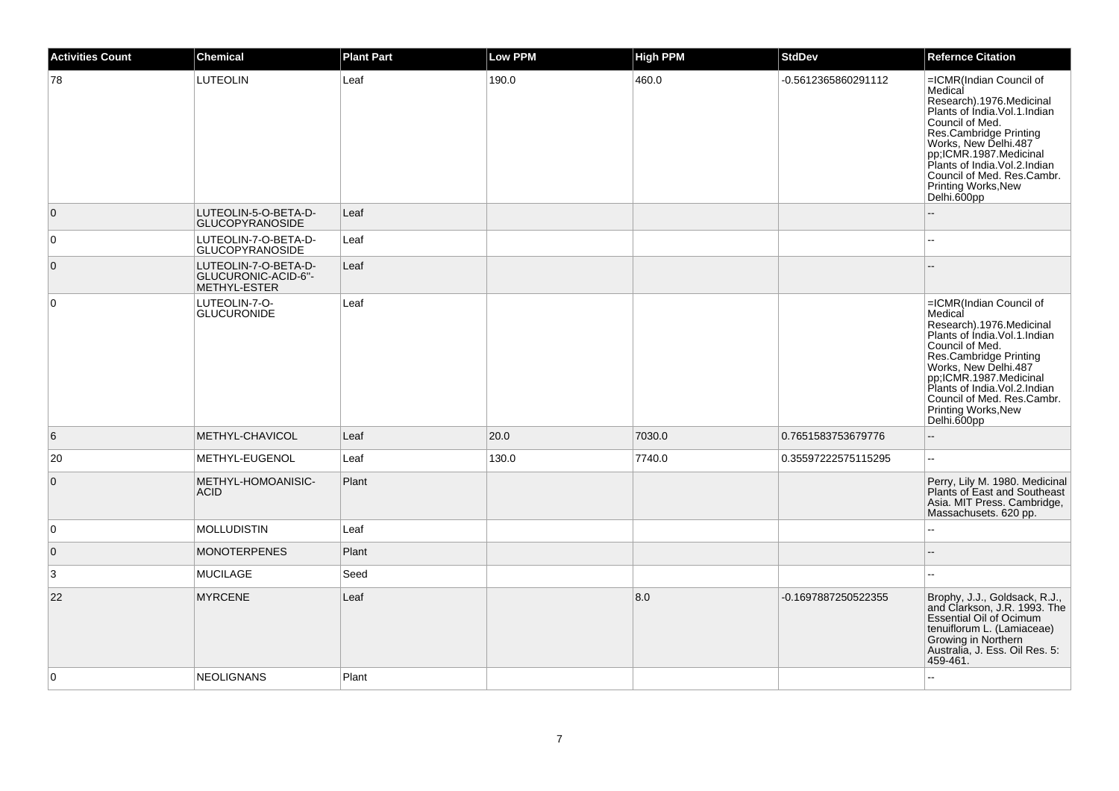| <b>Activities Count</b> | <b>Chemical</b>                                             | <b>Plant Part</b> | <b>Low PPM</b> | <b>High PPM</b> | <b>StdDev</b>       | <b>Refernce Citation</b>                                                                                                                                                                                                                                                                                           |
|-------------------------|-------------------------------------------------------------|-------------------|----------------|-----------------|---------------------|--------------------------------------------------------------------------------------------------------------------------------------------------------------------------------------------------------------------------------------------------------------------------------------------------------------------|
| 78                      | <b>LUTEOLIN</b>                                             | Leaf              | 190.0          | 460.0           | -0.5612365860291112 | =ICMR(Indian Council of<br>Medical<br>Research).1976.Medicinal<br>Plants of India. Vol. 1. Indian<br>Council of Med.<br><b>Post Cambridge Printing<br/> Works, New Delhi.487<br/> pp;ICMR.1987.Medicinal<br/> Plants of India.Vol.2.Indian</b><br>Council of Med. Res.Cambr.<br>Printing Works, New<br>Delhi.600pp |
| $\overline{0}$          | LUTEOLIN-5-O-BETA-D-<br><b>GLUCOPYRANOSIDE</b>              | Leaf              |                |                 |                     |                                                                                                                                                                                                                                                                                                                    |
| $\overline{0}$          | LUTEOLIN-7-O-BETA-D-<br>GLUCOPYRANOSIDE                     | Leaf              |                |                 |                     | $\sim$                                                                                                                                                                                                                                                                                                             |
| $\overline{0}$          | LUTEOLIN-7-O-BETA-D-<br>GLUCURONIC-ACID-6"-<br>METHYL-ESTER | Leaf              |                |                 |                     |                                                                                                                                                                                                                                                                                                                    |
| 0                       | LUTEOLIN-7-O-<br><b>GLUCURONIDE</b>                         | Leaf              |                |                 |                     | =ICMR(Indian Council of<br>Medical<br>Research).1976.Medicinal<br>Plants of India.Vol.1.Indian<br>Council of Med.<br><b>Post Cambridge Printing<br/> Works, New Delhi.487<br/> pp;ICMR.1987.Medicinal<br/> Plants of India.Vol.2.Indian</b><br>Council of Med. Res.Cambr.<br>Printing Works, New<br>Delhi.600pp    |
| 6                       | METHYL-CHAVICOL                                             | Leaf              | 20.0           | 7030.0          | 0.7651583753679776  | $\sim$                                                                                                                                                                                                                                                                                                             |
| 20                      | METHYL-EUGENOL                                              | Leaf              | 130.0          | 7740.0          | 0.35597222575115295 | $\mathbb{Z}^{\mathbb{Z}}$                                                                                                                                                                                                                                                                                          |
| $\overline{0}$          | METHYL-HOMOANISIC-<br><b>ACID</b>                           | Plant             |                |                 |                     | Perry, Lily M. 1980. Medicinal<br>Plants of East and Southeast<br>Asia. MIT Press. Cambridge,<br>Massachusets. 620 pp.                                                                                                                                                                                             |
| $\overline{0}$          | <b>MOLLUDISTIN</b>                                          | Leaf              |                |                 |                     |                                                                                                                                                                                                                                                                                                                    |
| $\overline{0}$          | <b>MONOTERPENES</b>                                         | Plant             |                |                 |                     | $\sim$                                                                                                                                                                                                                                                                                                             |
| 3                       | <b>MUCILAGE</b>                                             | Seed              |                |                 |                     | $\sim$                                                                                                                                                                                                                                                                                                             |
| 22                      | <b>MYRCENE</b>                                              | Leaf              |                | 8.0             | -0.1697887250522355 | Brophy, J.J., Goldsack, R.J.,<br>and Clarkson, J.R. 1993. The<br>Essential Oil of Ocimum<br>tenuiflorum L. (Lamiaceae)<br>Growing in Northern<br>Australia, J. Ess. Oil Res. 5:<br>459-461.                                                                                                                        |
| $\overline{0}$          | <b>NEOLIGNANS</b>                                           | Plant             |                |                 |                     |                                                                                                                                                                                                                                                                                                                    |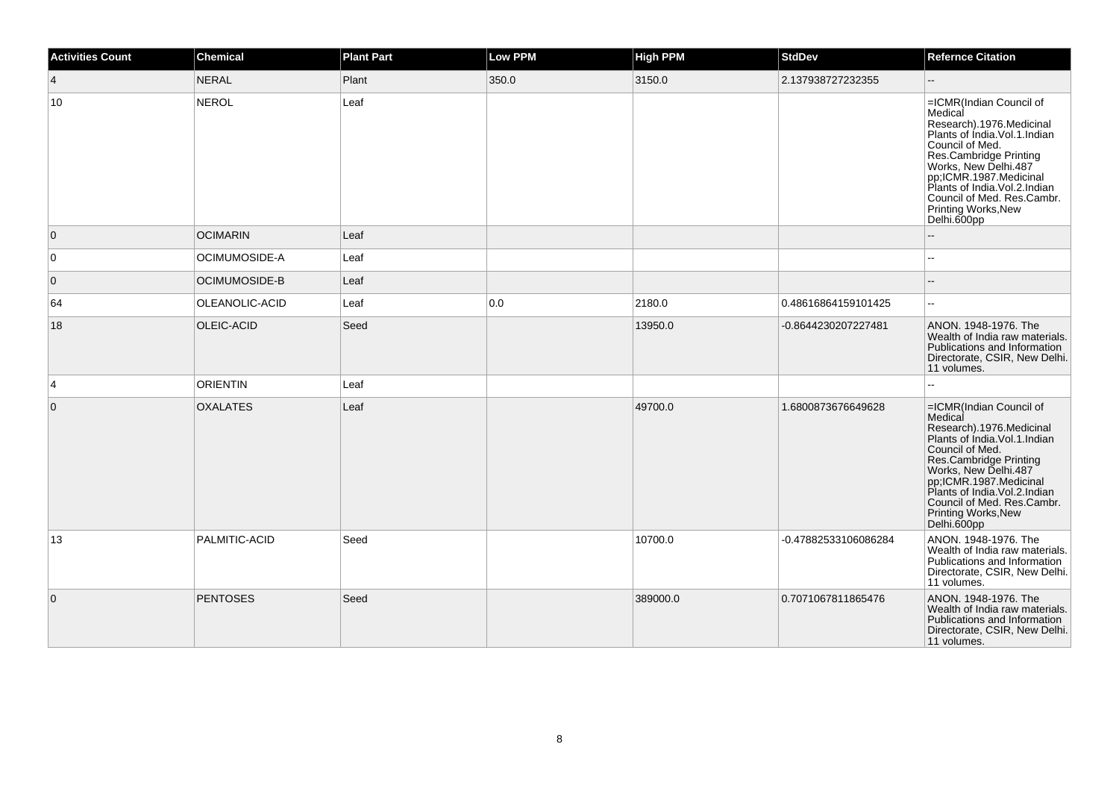| <b>Activities Count</b> | <b>Chemical</b> | <b>Plant Part</b> | <b>Low PPM</b> | <b>High PPM</b> | <b>StdDev</b>        | <b>Refernce Citation</b>                                                                                                                                                                                                                                                                              |
|-------------------------|-----------------|-------------------|----------------|-----------------|----------------------|-------------------------------------------------------------------------------------------------------------------------------------------------------------------------------------------------------------------------------------------------------------------------------------------------------|
| $\overline{4}$          | <b>NERAL</b>    | Plant             | 350.0          | 3150.0          | 2.137938727232355    |                                                                                                                                                                                                                                                                                                       |
| 10                      | <b>NEROL</b>    | Leaf              |                |                 |                      | =ICMR(Indian Council of<br>Medical<br>Research).1976.Medicinal<br>Plants of India. Vol. 1. Indian<br>Council of Med.<br>Res.Cambridge Printing<br>Works, New Delhi.487<br>pp;ICMR.1987.Medicinal<br>Plants of India. Vol.2.Indian<br>Council of Med. Res.Cambr.<br>Printing Works, New<br>Delhi.600pp |
| $\overline{0}$          | <b>OCIMARIN</b> | Leaf              |                |                 |                      |                                                                                                                                                                                                                                                                                                       |
| 0                       | OCIMUMOSIDE-A   | Leaf              |                |                 |                      |                                                                                                                                                                                                                                                                                                       |
| $\mathbf 0$             | OCIMUMOSIDE-B   | Leaf              |                |                 |                      |                                                                                                                                                                                                                                                                                                       |
| 64                      | OLEANOLIC-ACID  | Leaf              | 0.0            | 2180.0          | 0.48616864159101425  | $\sim$                                                                                                                                                                                                                                                                                                |
| 18                      | OLEIC-ACID      | Seed              |                | 13950.0         | -0.8644230207227481  | ANON. 1948-1976. The<br>Wealth of India raw materials.<br>Publications and Information<br>Directorate, CSIR, New Delhi.<br>11 volumes.                                                                                                                                                                |
| 4                       | <b>ORIENTIN</b> | Leaf              |                |                 |                      | ÷.                                                                                                                                                                                                                                                                                                    |
| $\overline{0}$          | <b>OXALATES</b> | Leaf              |                | 49700.0         | 1.6800873676649628   | =ICMR(Indian Council of<br>Medical<br>Research).1976.Medicinal<br>Plants of India.Vol.1.Indian<br>Council of Med.<br>Res.Cambridge Printing<br>Works, New Delhi.487<br>pp;ICMR.1987.Medicinal<br>Plants of India.Vol.2.Indian<br>Council of Med. Res.Cambr.<br>Printing Works, New<br>Delhi.600pp     |
| 13                      | PALMITIC-ACID   | Seed              |                | 10700.0         | -0.47882533106086284 | ANON. 1948-1976. The<br>Wealth of India raw materials.<br>Publications and Information<br>Directorate, CSIR, New Delhi.<br>11 volumes.                                                                                                                                                                |
| $\overline{0}$          | <b>PENTOSES</b> | Seed              |                | 389000.0        | 0.7071067811865476   | ANON. 1948-1976. The<br>Wealth of India raw materials.<br>Publications and Information<br>Directorate, CSIR, New Delhi.<br>11 volumes.                                                                                                                                                                |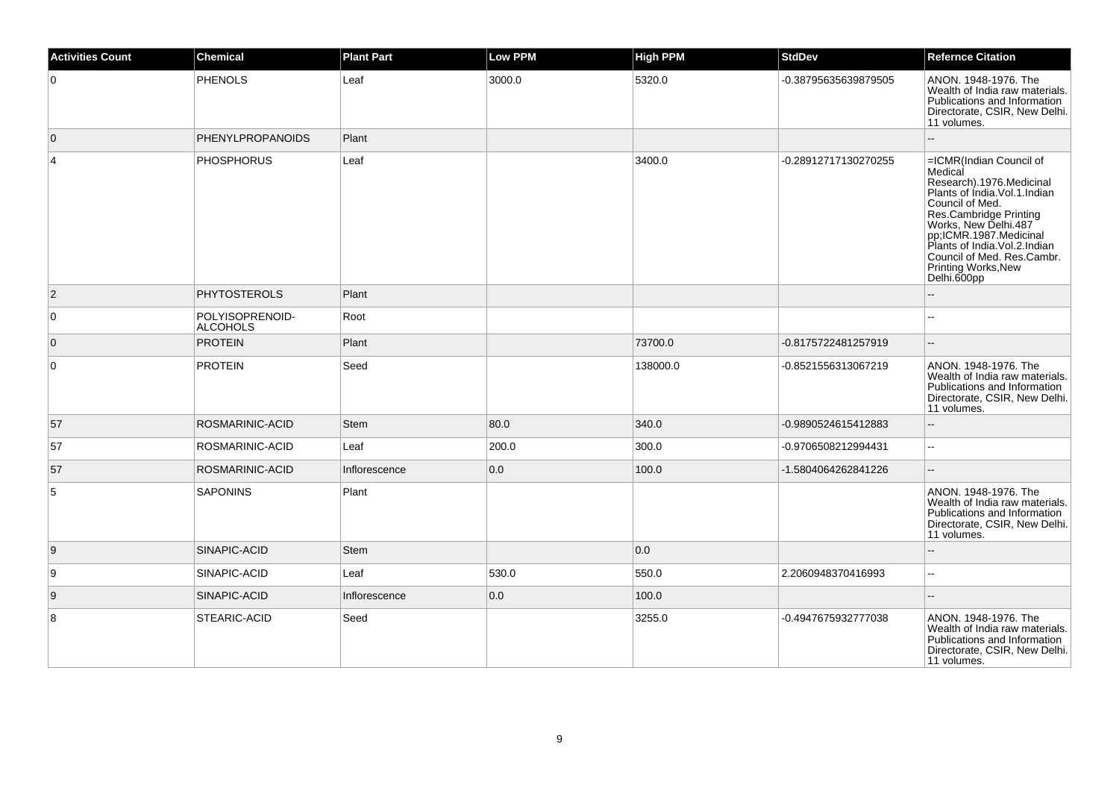| <b>Activities Count</b> | <b>Chemical</b>                    | <b>Plant Part</b> | <b>Low PPM</b> | <b>High PPM</b> | <b>StdDev</b>        | <b>Refernce Citation</b>                                                                                                                                                                                                                                                                                       |
|-------------------------|------------------------------------|-------------------|----------------|-----------------|----------------------|----------------------------------------------------------------------------------------------------------------------------------------------------------------------------------------------------------------------------------------------------------------------------------------------------------------|
| $\mathbf 0$             | <b>PHENOLS</b>                     | Leaf              | 3000.0         | 5320.0          | -0.38795635639879505 | ANON. 1948-1976. The<br>Wealth of India raw materials.<br>Publications and Information<br>Directorate, CSIR, New Delhi.<br>11 volumes.                                                                                                                                                                         |
| $\overline{0}$          | <b>PHENYLPROPANOIDS</b>            | Plant             |                |                 |                      |                                                                                                                                                                                                                                                                                                                |
| $\overline{4}$          | <b>PHOSPHORUS</b>                  | Leaf              |                | 3400.0          | -0.28912717130270255 | =ICMR(Indian Council of<br>Medical<br>Research).1976.Medicinal<br>Plants of India. Vol. 1. Indian<br>Council of Med.<br><b>Ses.Cambridge Printing<br/>Works, New Delhi.487<br/>pp;ICMR.1987.Medicinal<br/>Plants of India.Vol.2.Indian</b><br>Council of Med. Res.Cambr.<br>Printing Works, New<br>Delhi.600pp |
| $\overline{2}$          | <b>PHYTOSTEROLS</b>                | Plant             |                |                 |                      |                                                                                                                                                                                                                                                                                                                |
| $\mathbf 0$             | POLYISOPRENOID-<br><b>ALCOHOLS</b> | Root              |                |                 |                      |                                                                                                                                                                                                                                                                                                                |
| $\overline{0}$          | <b>PROTEIN</b>                     | Plant             |                | 73700.0         | -0.8175722481257919  |                                                                                                                                                                                                                                                                                                                |
| $\mathbf 0$             | <b>PROTEIN</b>                     | Seed              |                | 138000.0        | -0.8521556313067219  | ANON. 1948-1976. The<br>Wealth of India raw materials.<br>Publications and Information<br>Directorate, CSIR, New Delhi.<br>11 volumes.                                                                                                                                                                         |
| 57                      | ROSMARINIC-ACID                    | Stem              | 80.0           | 340.0           | -0.9890524615412883  |                                                                                                                                                                                                                                                                                                                |
| 57                      | ROSMARINIC-ACID                    | Leaf              | 200.0          | 300.0           | -0.9706508212994431  | $\overline{\phantom{a}}$                                                                                                                                                                                                                                                                                       |
| 57                      | ROSMARINIC-ACID                    | Inflorescence     | 0.0            | 100.0           | -1.5804064262841226  |                                                                                                                                                                                                                                                                                                                |
| 5                       | <b>SAPONINS</b>                    | Plant             |                |                 |                      | ANON. 1948-1976. The<br>Wealth of India raw materials.<br>Publications and Information<br>Directorate, CSIR, New Delhi.<br>11 volumes.                                                                                                                                                                         |
| 9                       | SINAPIC-ACID                       | Stem              |                | 0.0             |                      |                                                                                                                                                                                                                                                                                                                |
| 9                       | SINAPIC-ACID                       | Leaf              | 530.0          | 550.0           | 2.2060948370416993   | $\overline{\phantom{a}}$                                                                                                                                                                                                                                                                                       |
| 9                       | SINAPIC-ACID                       | Inflorescence     | 0.0            | 100.0           |                      | $\sim$                                                                                                                                                                                                                                                                                                         |
| 8                       | STEARIC-ACID                       | Seed              |                | 3255.0          | -0.4947675932777038  | ANON. 1948-1976. The<br>Wealth of India raw materials.<br>Publications and Information<br>Directorate, CSIR, New Delhi.<br>11 volumes.                                                                                                                                                                         |